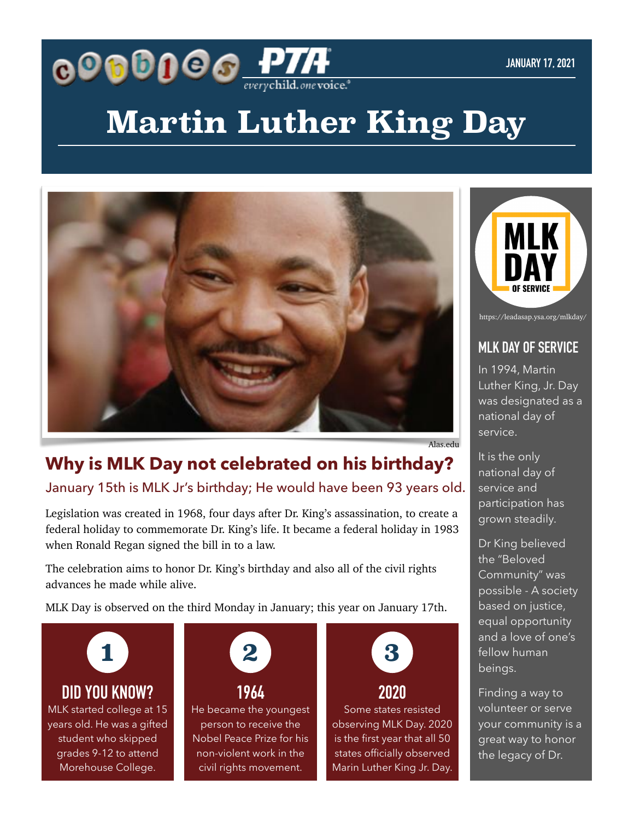

# **Martin Luther King Day**



https://leadasap.ysa.org/mlkday/

#### **MLK DAY OF SERVICE**

In 1994, Martin Luther King, Jr. Day was designated as a national day of service.

It is the only national day of service and participation has grown steadily.

Dr King believed the "Beloved Community" was possible - A society based on justice, equal opportunity and a love of one's fellow human beings.

Finding a way to volunteer or serve your community is a great way to honor the legacy of Dr.

## **Why is MLK Day not celebrated on his birthday?**

January 15th is MLK Jr's birthday; He would have been 93 years old.

Legislation was created in 1968, four days after Dr. King's assassination, to create a federal holiday to commemorate Dr. King's life. It became a federal holiday in 1983 when Ronald Regan signed the bill in to a law.

The celebration aims to honor Dr. King's birthday and also all of the civil rights advances he made while alive.

MLK Day is observed on the third Monday in January; this year on January 17th.



### **DID YOU KNOW?**

MLK started college at 15 years old. He was a gifted student who skipped grades 9-12 to attend Morehouse College.



**1964** He became the youngest person to receive the Nobel Peace Prize for his non-violent work in the civil rights movement.



Some states resisted observing MLK Day. 2020 is the first year that all 50 states officially observed Marin Luther King Jr. Day.